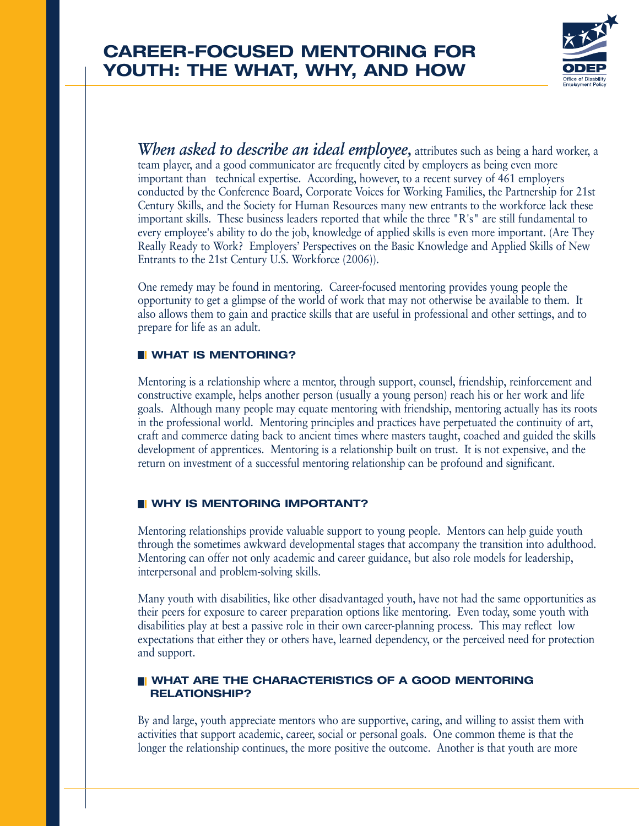

*When asked to describe an ideal employee,* attributes such as being a hard worker, a team player, and a good communicator are frequently cited by employers as being even more important than technical expertise. According, however, to a recent survey of 461 employers conducted by the Conference Board, Corporate Voices for Working Families, the Partnership for 21st Century Skills, and the Society for Human Resources many new entrants to the workforce lack these important skills. These business leaders reported that while the three "R's" are still fundamental to every employee's ability to do the job, knowledge of applied skills is even more important. (Are They Really Ready to Work? Employers' Perspectives on the Basic Knowledge and Applied Skills of New Entrants to the 21st Century U.S. Workforce (2006)).

One remedy may be found in mentoring. Career-focused mentoring provides young people the opportunity to get a glimpse of the world of work that may not otherwise be available to them. It also allows them to gain and practice skills that are useful in professional and other settings, and to prepare for life as an adult.

### **WHAT IS MENTORING?**

Mentoring is a relationship where a mentor, through support, counsel, friendship, reinforcement and constructive example, helps another person (usually a young person) reach his or her work and life goals. Although many people may equate mentoring with friendship, mentoring actually has its roots in the professional world. Mentoring principles and practices have perpetuated the continuity of art, craft and commerce dating back to ancient times where masters taught, coached and guided the skills development of apprentices. Mentoring is a relationship built on trust. It is not expensive, and the return on investment of a successful mentoring relationship can be profound and significant.

### **WHY IS MENTORING IMPORTANT?**

Mentoring relationships provide valuable support to young people. Mentors can help guide youth through the sometimes awkward developmental stages that accompany the transition into adulthood. Mentoring can offer not only academic and career guidance, but also role models for leadership, interpersonal and problem-solving skills.

Many youth with disabilities, like other disadvantaged youth, have not had the same opportunities as their peers for exposure to career preparation options like mentoring. Even today, some youth with disabilities play at best a passive role in their own career-planning process. This may reflect low expectations that either they or others have, learned dependency, or the perceived need for protection and support.

### **NUMBER ARE THE CHARACTERISTICS OF A GOOD MENTORING RELATIONSHIP?**

By and large, youth appreciate mentors who are supportive, caring, and willing to assist them with activities that support academic, career, social or personal goals. One common theme is that the longer the relationship continues, the more positive the outcome. Another is that youth are more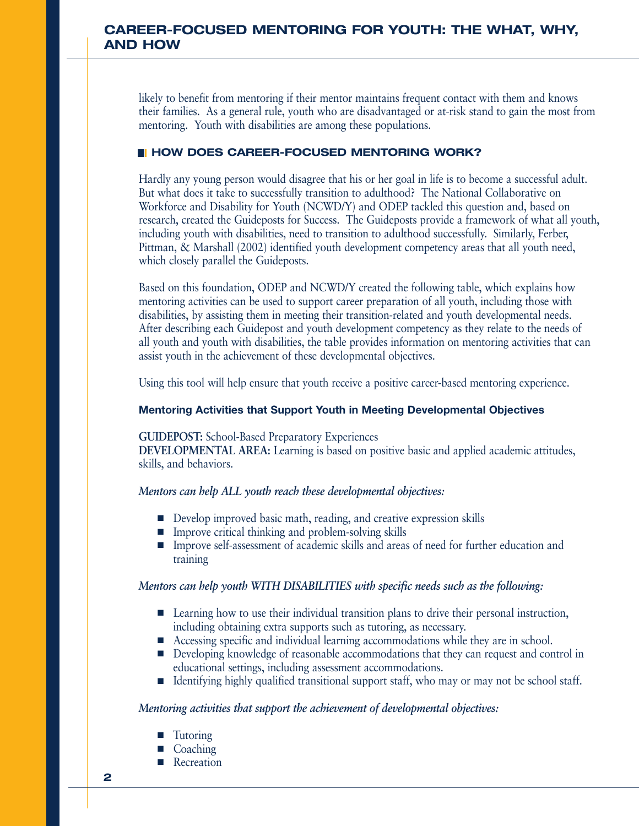# **CAREER-FOCUSED MENTORING FOR YOUTH: THE WHAT, WHY, AND HOW**

likely to benefit from mentoring if their mentor maintains frequent contact with them and knows their families. As a general rule, youth who are disadvantaged or at-risk stand to gain the most from mentoring. Youth with disabilities are among these populations.

# **HOW DOES CAREER-FOCUSED MENTORING WORK?**

Hardly any young person would disagree that his or her goal in life is to become a successful adult. But what does it take to successfully transition to adulthood? The National Collaborative on Workforce and Disability for Youth (NCWD/Y) and ODEP tackled this question and, based on research, created the Guideposts for Success. The Guideposts provide a framework of what all youth, including youth with disabilities, need to transition to adulthood successfully. Similarly, Ferber, Pittman, & Marshall (2002) identified youth development competency areas that all youth need, which closely parallel the Guideposts.

Based on this foundation, ODEP and NCWD/Y created the following table, which explains how mentoring activities can be used to support career preparation of all youth, including those with disabilities, by assisting them in meeting their transition-related and youth developmental needs. After describing each Guidepost and youth development competency as they relate to the needs of all youth and youth with disabilities, the table provides information on mentoring activities that can assist youth in the achievement of these developmental objectives.

Using this tool will help ensure that youth receive a positive career-based mentoring experience.

#### **Mentoring Activities that Support Youth in Meeting Developmental Objectives**

#### **GUIDEPOST:** School-Based Preparatory Experiences

**DEVELOPMENTAL AREA:** Learning is based on positive basic and applied academic attitudes, skills, and behaviors.

### *Mentors can help ALL youth reach these developmental objectives:*

- Develop improved basic math, reading, and creative expression skills
- Improve critical thinking and problem-solving skills
- Improve self-assessment of academic skills and areas of need for further education and training

#### *Mentors can help youth WITH DISABILITIES with specific needs such as the following:*

- Learning how to use their individual transition plans to drive their personal instruction, including obtaining extra supports such as tutoring, as necessary.
- Accessing specific and individual learning accommodations while they are in school.
- Developing knowledge of reasonable accommodations that they can request and control in educational settings, including assessment accommodations.
- Identifying highly qualified transitional support staff, who may or may not be school staff.

- **Tutoring**
- **Coaching**
- **Recreation**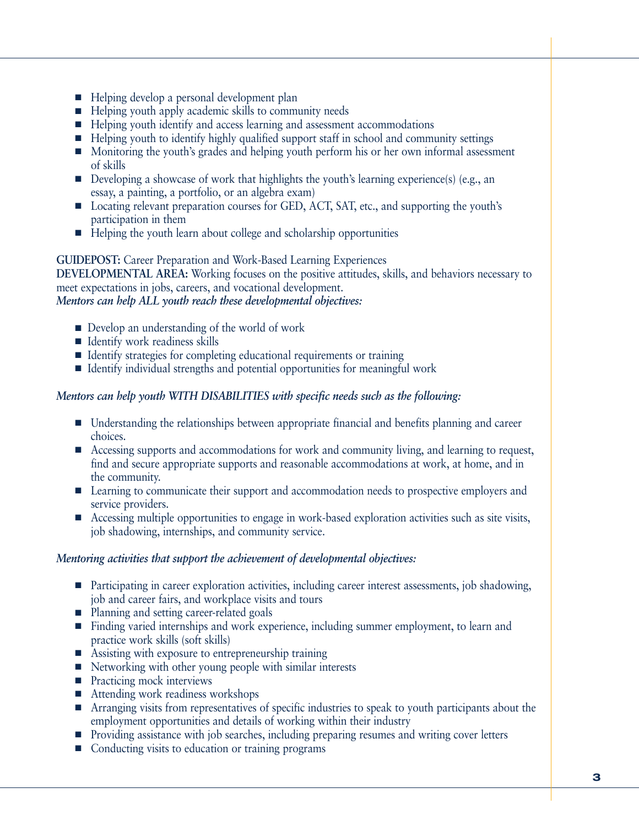- Helping develop a personal development plan
- Helping youth apply academic skills to community needs
- Helping youth identify and access learning and assessment accommodations
- Helping youth to identify highly qualified support staff in school and community settings
- Monitoring the youth's grades and helping youth perform his or her own informal assessment of skills
- $\blacksquare$  Developing a showcase of work that highlights the youth's learning experience(s) (e.g., an essay, a painting, a portfolio, or an algebra exam)
- Locating relevant preparation courses for GED, ACT, SAT, etc., and supporting the youth's participation in them
- Helping the youth learn about college and scholarship opportunities

### **GUIDEPOST:** Career Preparation and Work-Based Learning Experiences

**DEVELOPMENTAL AREA:** Working focuses on the positive attitudes, skills, and behaviors necessary to meet expectations in jobs, careers, and vocational development.

*Mentors can help ALL youth reach these developmental objectives:* 

- Develop an understanding of the world of work
- Identify work readiness skills
- Identify strategies for completing educational requirements or training
- Identify individual strengths and potential opportunities for meaningful work

# *Mentors can help youth WITH DISABILITIES with specific needs such as the following:*

- Understanding the relationships between appropriate financial and benefits planning and career choices.
- Accessing supports and accommodations for work and community living, and learning to request, find and secure appropriate supports and reasonable accommodations at work, at home, and in the community.
- Learning to communicate their support and accommodation needs to prospective employers and service providers.
- Accessing multiple opportunities to engage in work-based exploration activities such as site visits, job shadowing, internships, and community service.

- Participating in career exploration activities, including career interest assessments, job shadowing, job and career fairs, and workplace visits and tours
- Planning and setting career-related goals
- Finding varied internships and work experience, including summer employment, to learn and practice work skills (soft skills)
- Assisting with exposure to entrepreneurship training
- Networking with other young people with similar interests
- Practicing mock interviews
- Attending work readiness workshops
- Arranging visits from representatives of specific industries to speak to youth participants about the employment opportunities and details of working within their industry
- Providing assistance with job searches, including preparing resumes and writing cover letters
- Conducting visits to education or training programs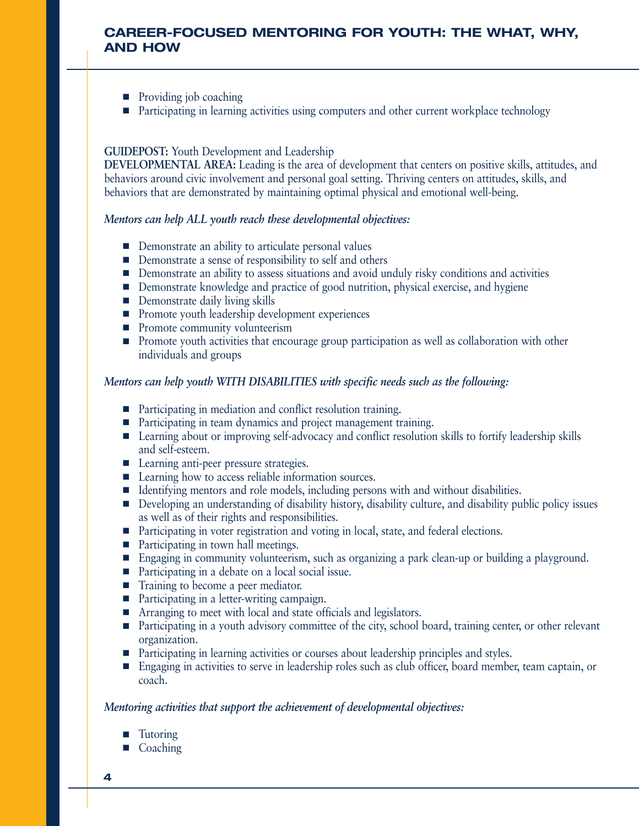# **CAREER-FOCUSED MENTORING FOR YOUTH: THE WHAT, WHY, AND HOW**

- Providing job coaching
- Participating in learning activities using computers and other current workplace technology

### **GUIDEPOST:** Youth Development and Leadership

**DEVELOPMENTAL AREA:** Leading is the area of development that centers on positive skills, attitudes, and behaviors around civic involvement and personal goal setting. Thriving centers on attitudes, skills, and behaviors that are demonstrated by maintaining optimal physical and emotional well-being.

#### *Mentors can help ALL youth reach these developmental objectives:*

- Demonstrate an ability to articulate personal values
- Demonstrate a sense of responsibility to self and others
- Demonstrate an ability to assess situations and avoid unduly risky conditions and activities
- Demonstrate knowledge and practice of good nutrition, physical exercise, and hygiene
- Demonstrate daily living skills
- Promote youth leadership development experiences
- Promote community volunteerism
- Promote youth activities that encourage group participation as well as collaboration with other individuals and groups

### *Mentors can help youth WITH DISABILITIES with specific needs such as the following:*

- Participating in mediation and conflict resolution training.
- Participating in team dynamics and project management training.
- Learning about or improving self-advocacy and conflict resolution skills to fortify leadership skills and self-esteem.
- Learning anti-peer pressure strategies.
- Learning how to access reliable information sources.
- Identifying mentors and role models, including persons with and without disabilities.
- Developing an understanding of disability history, disability culture, and disability public policy issues as well as of their rights and responsibilities.
- Participating in voter registration and voting in local, state, and federal elections.
- Participating in town hall meetings.
- Engaging in community volunteerism, such as organizing a park clean-up or building a playground.
- Participating in a debate on a local social issue.
- Training to become a peer mediator.
- Participating in a letter-writing campaign.
- Arranging to meet with local and state officials and legislators.
- Participating in a youth advisory committee of the city, school board, training center, or other relevant organization.
- Participating in learning activities or courses about leadership principles and styles.
- Engaging in activities to serve in leadership roles such as club officer, board member, team captain, or coach.

- **Tutoring**
- Coaching
- **4**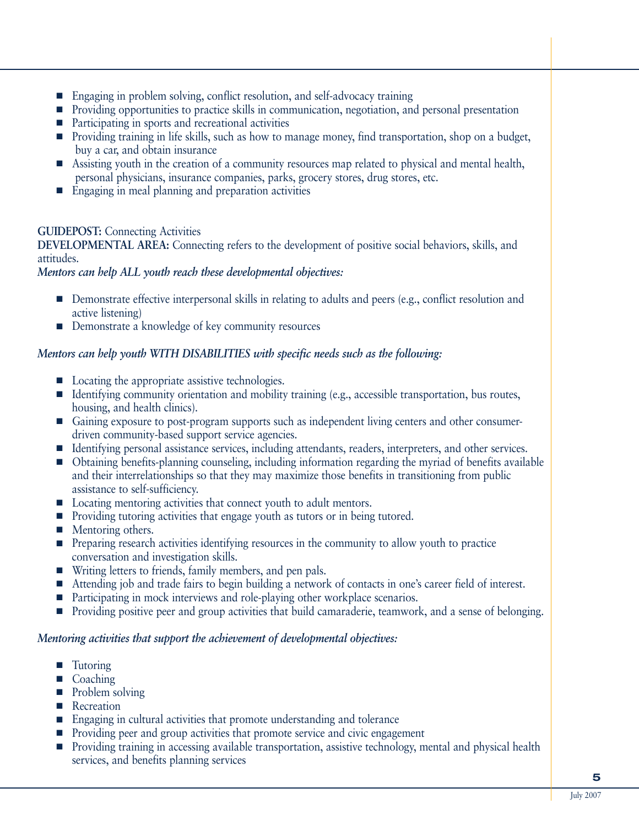- Engaging in problem solving, conflict resolution, and self-advocacy training
- Providing opportunities to practice skills in communication, negotiation, and personal presentation
- Participating in sports and recreational activities
- Providing training in life skills, such as how to manage money, find transportation, shop on a budget, buy a car, and obtain insurance
- Assisting youth in the creation of a community resources map related to physical and mental health, personal physicians, insurance companies, parks, grocery stores, drug stores, etc.
- Engaging in meal planning and preparation activities

# **GUIDEPOST:** Connecting Activities

**DEVELOPMENTAL AREA:** Connecting refers to the development of positive social behaviors, skills, and attitudes.

# *Mentors can help ALL youth reach these developmental objectives:*

- Demonstrate effective interpersonal skills in relating to adults and peers (e.g., conflict resolution and active listening)
- Demonstrate a knowledge of key community resources

# *Mentors can help youth WITH DISABILITIES with specific needs such as the following:*

- Locating the appropriate assistive technologies.
- Identifying community orientation and mobility training (e.g., accessible transportation, bus routes, housing, and health clinics).
- Gaining exposure to post-program supports such as independent living centers and other consumerdriven community-based support service agencies.
- Identifying personal assistance services, including attendants, readers, interpreters, and other services.
- Obtaining benefits-planning counseling, including information regarding the myriad of benefits available and their interrelationships so that they may maximize those benefits in transitioning from public assistance to self-sufficiency.
- Locating mentoring activities that connect youth to adult mentors.
- Providing tutoring activities that engage youth as tutors or in being tutored.
- Mentoring others.
- Preparing research activities identifying resources in the community to allow youth to practice conversation and investigation skills.
- Writing letters to friends, family members, and pen pals.
- Attending job and trade fairs to begin building a network of contacts in one's career field of interest.
- Participating in mock interviews and role-playing other workplace scenarios.
- Providing positive peer and group activities that build camaraderie, teamwork, and a sense of belonging.

- Tutoring
- **Coaching**
- Problem solving
- Recreation
- Engaging in cultural activities that promote understanding and tolerance
- Providing peer and group activities that promote service and civic engagement
- Providing training in accessing available transportation, assistive technology, mental and physical health services, and benefits planning services